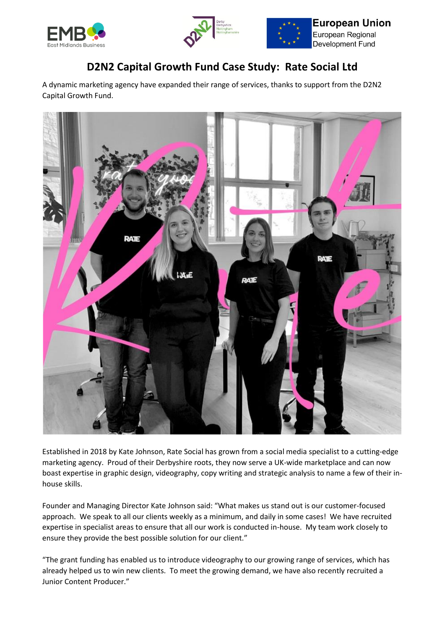





**European Union** European Regional Development Fund

## **D2N2 Capital Growth Fund Case Study: Rate Social Ltd**

A dynamic marketing agency have expanded their range of services, thanks to support from the D2N2 Capital Growth Fund.



Established in 2018 by Kate Johnson, Rate Social has grown from a social media specialist to a cutting-edge marketing agency. Proud of their Derbyshire roots, they now serve a UK-wide marketplace and can now boast expertise in graphic design, videography, copy writing and strategic analysis to name a few of their inhouse skills.

Founder and Managing Director Kate Johnson said: "What makes us stand out is our customer-focused approach. We speak to all our clients weekly as a minimum, and daily in some cases! We have recruited expertise in specialist areas to ensure that all our work is conducted in-house. My team work closely to ensure they provide the best possible solution for our client."

"The grant funding has enabled us to introduce videography to our growing range of services, which has already helped us to win new clients. To meet the growing demand, we have also recently recruited a Junior Content Producer."